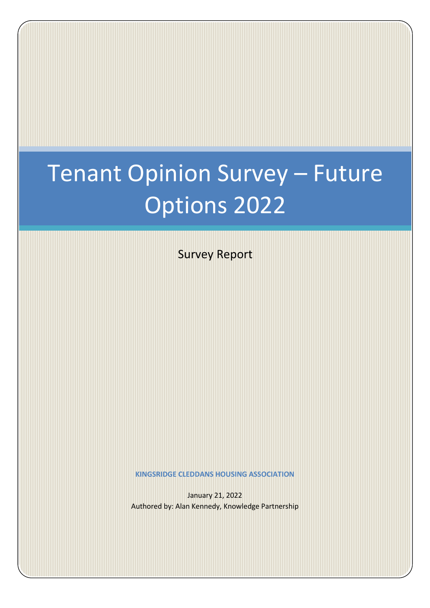# Tenant Opinion Survey – Future Options 2022

Survey Report

**KINGSRIDGE CLEDDANS HOUSING ASSOCIATION**

January 21, 2022 Authored by: Alan Kennedy, Knowledge Partnership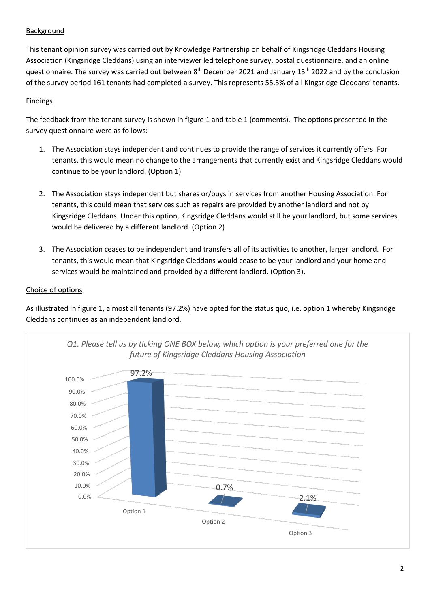# Background

This tenant opinion survey was carried out by Knowledge Partnership on behalf of Kingsridge Cleddans Housing Association (Kingsridge Cleddans) using an interviewer led telephone survey, postal questionnaire, and an online questionnaire. The survey was carried out between 8<sup>th</sup> December 2021 and January 15<sup>th</sup> 2022 and by the conclusion of the survey period 161 tenants had completed a survey. This represents 55.5% of all Kingsridge Cleddans' tenants.

## **Findings**

The feedback from the tenant survey is shown in figure 1 and table 1 (comments). The options presented in the survey questionnaire were as follows:

- 1. The Association stays independent and continues to provide the range of services it currently offers. For tenants, this would mean no change to the arrangements that currently exist and Kingsridge Cleddans would continue to be your landlord. (Option 1)
- 2. The Association stays independent but shares or/buys in services from another Housing Association. For tenants, this could mean that services such as repairs are provided by another landlord and not by Kingsridge Cleddans. Under this option, Kingsridge Cleddans would still be your landlord, but some services would be delivered by a different landlord. (Option 2)
- 3. The Association ceases to be independent and transfers all of its activities to another, larger landlord. For tenants, this would mean that Kingsridge Cleddans would cease to be your landlord and your home and services would be maintained and provided by a different landlord. (Option 3).

# Choice of options

As illustrated in figure 1, almost all tenants (97.2%) have opted for the status quo, i.e. option 1 whereby Kingsridge Cleddans continues as an independent landlord.

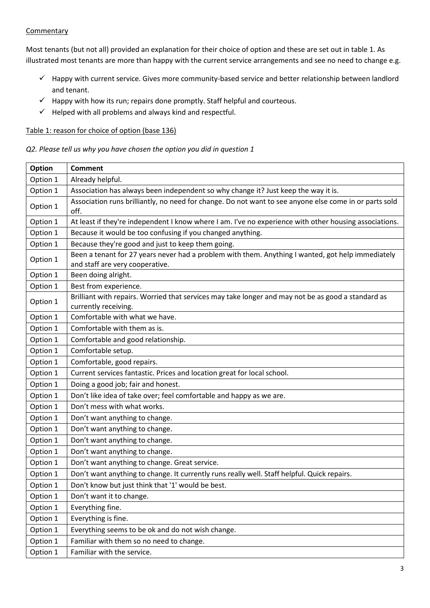## **Commentary**

Most tenants (but not all) provided an explanation for their choice of option and these are set out in table 1. As illustrated most tenants are more than happy with the current service arrangements and see no need to change e.g.

- $\checkmark$  Happy with current service. Gives more community-based service and better relationship between landlord and tenant.
- $\checkmark$  Happy with how its run; repairs done promptly. Staff helpful and courteous.
- $\checkmark$  Helped with all problems and always kind and respectful.

#### Table 1: reason for choice of option (base 136)

*Q2. Please tell us why you have chosen the option you did in question 1*

| Option   | <b>Comment</b>                                                                                                                       |
|----------|--------------------------------------------------------------------------------------------------------------------------------------|
| Option 1 | Already helpful.                                                                                                                     |
| Option 1 | Association has always been independent so why change it? Just keep the way it is.                                                   |
| Option 1 | Association runs brilliantly, no need for change. Do not want to see anyone else come in or parts sold<br>off.                       |
| Option 1 | At least if they're independent I know where I am. I've no experience with other housing associations.                               |
| Option 1 | Because it would be too confusing if you changed anything.                                                                           |
| Option 1 | Because they're good and just to keep them going.                                                                                    |
| Option 1 | Been a tenant for 27 years never had a problem with them. Anything I wanted, got help immediately<br>and staff are very cooperative. |
| Option 1 | Been doing alright.                                                                                                                  |
| Option 1 | Best from experience.                                                                                                                |
| Option 1 | Brilliant with repairs. Worried that services may take longer and may not be as good a standard as<br>currently receiving.           |
| Option 1 | Comfortable with what we have.                                                                                                       |
| Option 1 | Comfortable with them as is.                                                                                                         |
| Option 1 | Comfortable and good relationship.                                                                                                   |
| Option 1 | Comfortable setup.                                                                                                                   |
| Option 1 | Comfortable, good repairs.                                                                                                           |
| Option 1 | Current services fantastic. Prices and location great for local school.                                                              |
| Option 1 | Doing a good job; fair and honest.                                                                                                   |
| Option 1 | Don't like idea of take over; feel comfortable and happy as we are.                                                                  |
| Option 1 | Don't mess with what works.                                                                                                          |
| Option 1 | Don't want anything to change.                                                                                                       |
| Option 1 | Don't want anything to change.                                                                                                       |
| Option 1 | Don't want anything to change.                                                                                                       |
| Option 1 | Don't want anything to change.                                                                                                       |
| Option 1 | Don't want anything to change. Great service.                                                                                        |
| Option 1 | Don't want anything to change. It currently runs really well. Staff helpful. Quick repairs.                                          |
| Option 1 | Don't know but just think that '1' would be best.                                                                                    |
| Option 1 | Don't want it to change.                                                                                                             |
| Option 1 | Everything fine.                                                                                                                     |
| Option 1 | Everything is fine.                                                                                                                  |
| Option 1 | Everything seems to be ok and do not wish change.                                                                                    |
| Option 1 | Familiar with them so no need to change.                                                                                             |
| Option 1 | Familiar with the service.                                                                                                           |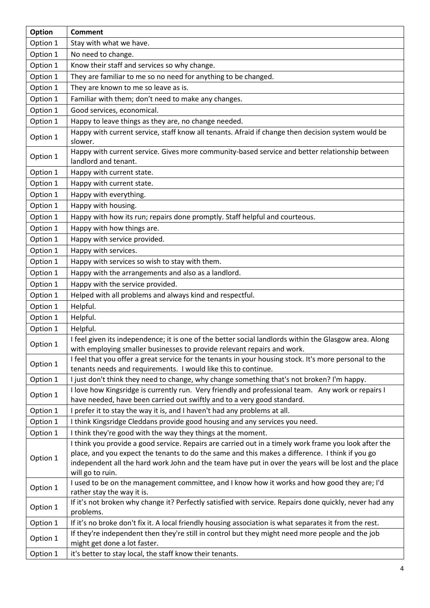| Option   | <b>Comment</b>                                                                                                                                                                                                                                                                                                                        |
|----------|---------------------------------------------------------------------------------------------------------------------------------------------------------------------------------------------------------------------------------------------------------------------------------------------------------------------------------------|
| Option 1 | Stay with what we have.                                                                                                                                                                                                                                                                                                               |
| Option 1 | No need to change.                                                                                                                                                                                                                                                                                                                    |
| Option 1 | Know their staff and services so why change.                                                                                                                                                                                                                                                                                          |
| Option 1 | They are familiar to me so no need for anything to be changed.                                                                                                                                                                                                                                                                        |
| Option 1 | They are known to me so leave as is.                                                                                                                                                                                                                                                                                                  |
| Option 1 | Familiar with them; don't need to make any changes.                                                                                                                                                                                                                                                                                   |
| Option 1 | Good services, economical.                                                                                                                                                                                                                                                                                                            |
| Option 1 | Happy to leave things as they are, no change needed.                                                                                                                                                                                                                                                                                  |
| Option 1 | Happy with current service, staff know all tenants. Afraid if change then decision system would be<br>slower.                                                                                                                                                                                                                         |
| Option 1 | Happy with current service. Gives more community-based service and better relationship between<br>landlord and tenant.                                                                                                                                                                                                                |
| Option 1 | Happy with current state.                                                                                                                                                                                                                                                                                                             |
| Option 1 | Happy with current state.                                                                                                                                                                                                                                                                                                             |
| Option 1 | Happy with everything.                                                                                                                                                                                                                                                                                                                |
| Option 1 | Happy with housing.                                                                                                                                                                                                                                                                                                                   |
| Option 1 | Happy with how its run; repairs done promptly. Staff helpful and courteous.                                                                                                                                                                                                                                                           |
| Option 1 | Happy with how things are.                                                                                                                                                                                                                                                                                                            |
| Option 1 | Happy with service provided.                                                                                                                                                                                                                                                                                                          |
| Option 1 | Happy with services.                                                                                                                                                                                                                                                                                                                  |
| Option 1 | Happy with services so wish to stay with them.                                                                                                                                                                                                                                                                                        |
| Option 1 | Happy with the arrangements and also as a landlord.                                                                                                                                                                                                                                                                                   |
| Option 1 | Happy with the service provided.                                                                                                                                                                                                                                                                                                      |
| Option 1 | Helped with all problems and always kind and respectful.                                                                                                                                                                                                                                                                              |
| Option 1 | Helpful.                                                                                                                                                                                                                                                                                                                              |
| Option 1 | Helpful.                                                                                                                                                                                                                                                                                                                              |
| Option 1 | Helpful.                                                                                                                                                                                                                                                                                                                              |
| Option 1 | I feel given its independence; it is one of the better social landlords within the Glasgow area. Along<br>with employing smaller businesses to provide relevant repairs and work.                                                                                                                                                     |
| Option 1 | I feel that you offer a great service for the tenants in your housing stock. It's more personal to the<br>tenants needs and requirements. I would like this to continue.                                                                                                                                                              |
| Option 1 | I just don't think they need to change, why change something that's not broken? I'm happy.                                                                                                                                                                                                                                            |
| Option 1 | I love how Kingsridge is currently run. Very friendly and professional team. Any work or repairs I<br>have needed, have been carried out swiftly and to a very good standard.                                                                                                                                                         |
| Option 1 | I prefer it to stay the way it is, and I haven't had any problems at all.                                                                                                                                                                                                                                                             |
| Option 1 | I think Kingsridge Cleddans provide good housing and any services you need.                                                                                                                                                                                                                                                           |
| Option 1 | I think they're good with the way they things at the moment.                                                                                                                                                                                                                                                                          |
| Option 1 | I think you provide a good service. Repairs are carried out in a timely work frame you look after the<br>place, and you expect the tenants to do the same and this makes a difference. I think if you go<br>independent all the hard work John and the team have put in over the years will be lost and the place<br>will go to ruin. |
| Option 1 | I used to be on the management committee, and I know how it works and how good they are; I'd<br>rather stay the way it is.                                                                                                                                                                                                            |
| Option 1 | If it's not broken why change it? Perfectly satisfied with service. Repairs done quickly, never had any<br>problems.                                                                                                                                                                                                                  |
| Option 1 | If it's no broke don't fix it. A local friendly housing association is what separates it from the rest.                                                                                                                                                                                                                               |
| Option 1 | If they're independent then they're still in control but they might need more people and the job<br>might get done a lot faster.                                                                                                                                                                                                      |
| Option 1 | it's better to stay local, the staff know their tenants.                                                                                                                                                                                                                                                                              |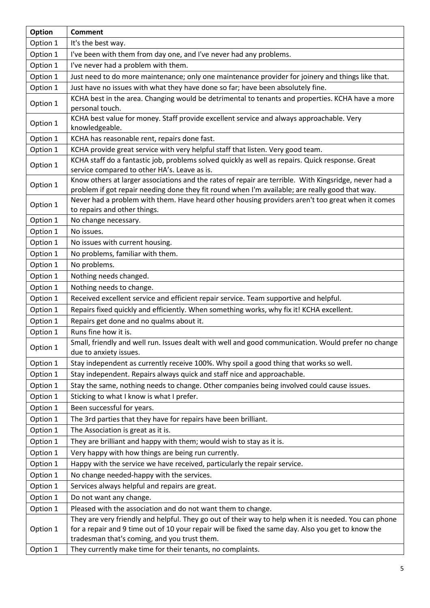| <b>Option</b> | <b>Comment</b>                                                                                                                                                                                           |
|---------------|----------------------------------------------------------------------------------------------------------------------------------------------------------------------------------------------------------|
| Option 1      | It's the best way.                                                                                                                                                                                       |
| Option 1      | I've been with them from day one, and I've never had any problems.                                                                                                                                       |
| Option 1      | I've never had a problem with them.                                                                                                                                                                      |
| Option 1      | Just need to do more maintenance; only one maintenance provider for joinery and things like that.                                                                                                        |
| Option 1      | Just have no issues with what they have done so far; have been absolutely fine.                                                                                                                          |
| Option 1      | KCHA best in the area. Changing would be detrimental to tenants and properties. KCHA have a more<br>personal touch.                                                                                      |
| Option 1      | KCHA best value for money. Staff provide excellent service and always approachable. Very<br>knowledgeable.                                                                                               |
| Option 1      | KCHA has reasonable rent, repairs done fast.                                                                                                                                                             |
| Option 1      | KCHA provide great service with very helpful staff that listen. Very good team.                                                                                                                          |
| Option 1      | KCHA staff do a fantastic job, problems solved quickly as well as repairs. Quick response. Great<br>service compared to other HA's. Leave as is.                                                         |
| Option 1      | Know others at larger associations and the rates of repair are terrible. With Kingsridge, never had a<br>problem if got repair needing done they fit round when I'm available; are really good that way. |
| Option 1      | Never had a problem with them. Have heard other housing providers aren't too great when it comes                                                                                                         |
|               | to repairs and other things.                                                                                                                                                                             |
| Option 1      | No change necessary.                                                                                                                                                                                     |
| Option 1      | No issues.                                                                                                                                                                                               |
| Option 1      | No issues with current housing.                                                                                                                                                                          |
| Option 1      | No problems, familiar with them.                                                                                                                                                                         |
| Option 1      | No problems.                                                                                                                                                                                             |
| Option 1      | Nothing needs changed.                                                                                                                                                                                   |
| Option 1      | Nothing needs to change.                                                                                                                                                                                 |
| Option 1      | Received excellent service and efficient repair service. Team supportive and helpful.                                                                                                                    |
| Option 1      | Repairs fixed quickly and efficiently. When something works, why fix it! KCHA excellent.                                                                                                                 |
| Option 1      | Repairs get done and no qualms about it.                                                                                                                                                                 |
| Option 1      | Runs fine how it is.                                                                                                                                                                                     |
| Option 1      | Small, friendly and well run. Issues dealt with well and good communication. Would prefer no change<br>due to anxiety issues.                                                                            |
| Option 1      | Stay independent as currently receive 100%. Why spoil a good thing that works so well.                                                                                                                   |
| Option 1      | Stay independent. Repairs always quick and staff nice and approachable.                                                                                                                                  |
| Option 1      | Stay the same, nothing needs to change. Other companies being involved could cause issues.                                                                                                               |
| Option 1      | Sticking to what I know is what I prefer.                                                                                                                                                                |
| Option 1      | Been successful for years.                                                                                                                                                                               |
| Option 1      | The 3rd parties that they have for repairs have been brilliant.                                                                                                                                          |
| Option 1      | The Association is great as it is.                                                                                                                                                                       |
| Option 1      | They are brilliant and happy with them; would wish to stay as it is.                                                                                                                                     |
| Option 1      | Very happy with how things are being run currently.                                                                                                                                                      |
| Option 1      | Happy with the service we have received, particularly the repair service.                                                                                                                                |
| Option 1      | No change needed-happy with the services.                                                                                                                                                                |
| Option 1      | Services always helpful and repairs are great.                                                                                                                                                           |
| Option 1      | Do not want any change.                                                                                                                                                                                  |
| Option 1      | Pleased with the association and do not want them to change.                                                                                                                                             |
|               | They are very friendly and helpful. They go out of their way to help when it is needed. You can phone                                                                                                    |
| Option 1      | for a repair and 9 time out of 10 your repair will be fixed the same day. Also you get to know the                                                                                                       |
|               | tradesman that's coming, and you trust them.                                                                                                                                                             |
| Option 1      | They currently make time for their tenants, no complaints.                                                                                                                                               |